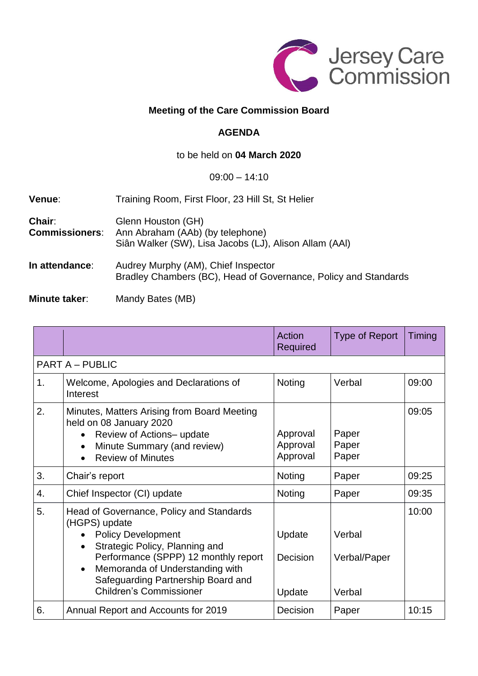

## **Meeting of the Care Commission Board**

### **AGENDA**

### to be held on **04 March 2020**

#### 09:00 – 14:10

| Venue:                          | Training Room, First Floor, 23 Hill St, St Helier                                                                |  |  |
|---------------------------------|------------------------------------------------------------------------------------------------------------------|--|--|
| Chair:<br><b>Commissioners:</b> | Glenn Houston (GH)<br>Ann Abraham (AAb) (by telephone)<br>Siân Walker (SW), Lisa Jacobs (LJ), Alison Allam (AAI) |  |  |
| In attendance:                  | Audrey Murphy (AM), Chief Inspector<br>Bradley Chambers (BC), Head of Governance, Policy and Standards           |  |  |

# **Minute taker**: Mandy Bates (MB)

|                |                                                                                                                                                                                                                                                                                          | Action<br>Required               | <b>Type of Report</b>            | Timing |  |  |  |
|----------------|------------------------------------------------------------------------------------------------------------------------------------------------------------------------------------------------------------------------------------------------------------------------------------------|----------------------------------|----------------------------------|--------|--|--|--|
|                | <b>PART A – PUBLIC</b>                                                                                                                                                                                                                                                                   |                                  |                                  |        |  |  |  |
| 1 <sub>1</sub> | Welcome, Apologies and Declarations of<br>Interest                                                                                                                                                                                                                                       | Noting                           | Verbal                           | 09:00  |  |  |  |
| 2.             | Minutes, Matters Arising from Board Meeting<br>held on 08 January 2020<br>Review of Actions- update<br>Minute Summary (and review)<br>$\bullet$<br><b>Review of Minutes</b>                                                                                                              | Approval<br>Approval<br>Approval | Paper<br>Paper<br>Paper          | 09:05  |  |  |  |
| 3.             | Chair's report                                                                                                                                                                                                                                                                           | <b>Noting</b>                    | Paper                            | 09:25  |  |  |  |
| 4.             | Chief Inspector (CI) update                                                                                                                                                                                                                                                              | Noting                           | Paper                            | 09:35  |  |  |  |
| 5.             | Head of Governance, Policy and Standards<br>(HGPS) update<br><b>Policy Development</b><br>Strategic Policy, Planning and<br>$\bullet$<br>Performance (SPPP) 12 monthly report<br>Memoranda of Understanding with<br>Safeguarding Partnership Board and<br><b>Children's Commissioner</b> | Update<br>Decision<br>Update     | Verbal<br>Verbal/Paper<br>Verbal | 10:00  |  |  |  |
| 6.             | Annual Report and Accounts for 2019                                                                                                                                                                                                                                                      | Decision                         | Paper                            | 10:15  |  |  |  |